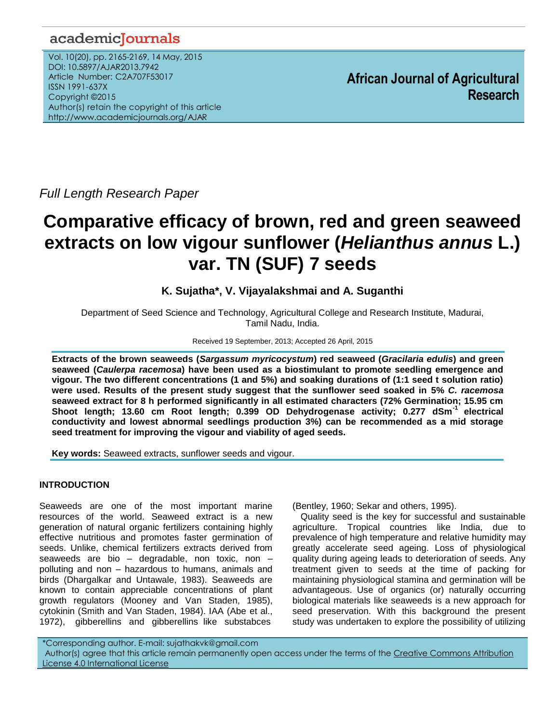## academicJournals

Vol. 10(20), pp. 2165-2169, 14 May, 2015 DOI: 10.5897/AJAR2013.7942 Article Number: C2A707F53017 ISSN 1991-637X Copyright ©2015 Author(s) retain the copyright of this article http://www.academicjournals.org/AJAR

**African Journal of Agricultural Research**

*Full Length Research Paper*

# **Comparative efficacy of brown, red and green seaweed extracts on low vigour sunflower (***Helianthus annus* **L.) var. TN (SUF) 7 seeds**

**K. Sujatha\*, V. Vijayalakshmai and A. Suganthi**

Department of Seed Science and Technology, Agricultural College and Research Institute, Madurai, Tamil Nadu, India.

### Received 19 September, 2013; Accepted 26 April, 2015

**Extracts of the brown seaweeds (***Sargassum myricocystum***) red seaweed (***Gracilaria edulis***) and green seaweed (***Caulerpa racemosa***) have been used as a biostimulant to promote seedling emergence and vigour. The two different concentrations (1 and 5%) and soaking durations of (1:1 seed t solution ratio) were used. Results of the present study suggest that the sunflower seed soaked in 5%** *C. racemosa* **seaweed extract for 8 h performed significantly in all estimated characters (72% Germination; 15.95 cm Shoot length; 13.60 cm Root length; 0.399 OD Dehydrogenase activity; 0.277 dSm-1 electrical conductivity and lowest abnormal seedlings production 3%) can be recommended as a mid storage seed treatment for improving the vigour and viability of aged seeds.**

**Key words:** Seaweed extracts, sunflower seeds and vigour.

## **INTRODUCTION**

Seaweeds are one of the most important marine resources of the world. Seaweed extract is a new generation of natural organic fertilizers containing highly effective nutritious and promotes faster germination of seeds. Unlike, chemical fertilizers extracts derived from seaweeds are bio – degradable, non toxic, non – polluting and non – hazardous to humans, animals and birds (Dhargalkar and Untawale, 1983). Seaweeds are known to contain appreciable concentrations of plant growth regulators (Mooney and Van Staden, 1985), cytokinin (Smith and Van Staden, 1984). IAA (Abe et al., 1972), gibberellins and gibberellins like substabces

(Bentley, 1960; Sekar and others, 1995).

Quality seed is the key for successful and sustainable agriculture. Tropical countries like India, due to prevalence of high temperature and relative humidity may greatly accelerate seed ageing. Loss of physiological quality during ageing leads to deterioration of seeds. Any treatment given to seeds at the time of packing for maintaining physiological stamina and germination will be advantageous. Use of organics (or) naturally occurring biological materials like seaweeds is a new approach for seed preservation. With this background the present study was undertaken to explore the possibility of utilizing

\*Corresponding author. E-mail: sujathakvk@gmail.com Author(s) agree that this article remain permanently open access under the terms of the Creative Commons Attribution [License 4.0 International License](http://creativecommons.org/licenses/by/4.0/deed.en_US)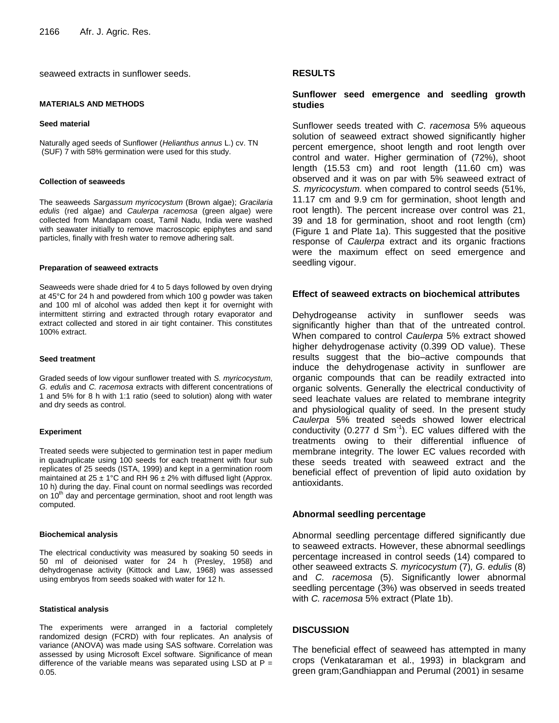seaweed extracts in sunflower seeds.

#### **MATERIALS AND METHODS**

#### **Seed material**

Naturally aged seeds of Sunflower (*Helianthus annus* L.) cv. TN (SUF) 7 with 58% germination were used for this study.

#### **Collection of seaweeds**

The seaweeds *Sargassum myricocystum* (Brown algae); *Gracilaria edulis* (red algae) and *Caulerpa racemosa* (green algae) were collected from Mandapam coast, Tamil Nadu, India were washed with seawater initially to remove macroscopic epiphytes and sand particles, finally with fresh water to remove adhering salt.

#### **Preparation of seaweed extracts**

Seaweeds were shade dried for 4 to 5 days followed by oven drying at 45°C for 24 h and powdered from which 100 g powder was taken and 100 ml of alcohol was added then kept it for overnight with intermittent stirring and extracted through rotary evaporator and extract collected and stored in air tight container. This constitutes 100% extract.

#### **Seed treatment**

Graded seeds of low vigour sunflower treated with *S. myricocystum*, *G. edulis* and *C. racemosa* extracts with different concentrations of 1 and 5% for 8 h with 1:1 ratio (seed to solution) along with water and dry seeds as control.

#### **Experiment**

Treated seeds were subjected to germination test in paper medium in quadruplicate using 100 seeds for each treatment with four sub replicates of 25 seeds (ISTA, 1999) and kept in a germination room maintained at  $25 \pm 1^{\circ}$ C and RH 96  $\pm$  2% with diffused light (Approx. 10 h) during the day. Final count on normal seedlings was recorded on 10<sup>th</sup> day and percentage germination, shoot and root length was computed.

#### **Biochemical analysis**

The electrical conductivity was measured by soaking 50 seeds in 50 ml of deionised water for 24 h (Presley, 1958) and dehydrogenase activity (Kittock and Law, 1968) was assessed using embryos from seeds soaked with water for 12 h.

#### **Statistical analysis**

The experiments were arranged in a factorial completely randomized design (FCRD) with four replicates. An analysis of variance (ANOVA) was made using SAS software. Correlation was assessed by using Microsoft Excel software. Significance of mean difference of the variable means was separated using LSD at  $P =$ 0.05.

#### **RESULTS**

## **Sunflower seed emergence and seedling growth studies**

Sunflower seeds treated with *C. racemosa* 5% aqueous solution of seaweed extract showed significantly higher percent emergence, shoot length and root length over control and water. Higher germination of (72%), shoot length (15.53 cm) and root length (11.60 cm) was observed and it was on par with 5% seaweed extract of *S. myricocystum.* when compared to control seeds (51%, 11.17 cm and 9.9 cm for germination, shoot length and root length). The percent increase over control was 21, 39 and 18 for germination, shoot and root length (cm) (Figure 1 and Plate 1a). This suggested that the positive response of *Caulerpa* extract and its organic fractions were the maximum effect on seed emergence and seedling vigour.

#### **Effect of seaweed extracts on biochemical attributes**

Dehydrogeanse activity in sunflower seeds was significantly higher than that of the untreated control. When compared to control *Caulerpa* 5% extract showed higher dehydrogenase activity (0.399 OD value). These results suggest that the bio–active compounds that induce the dehydrogenase activity in sunflower are organic compounds that can be readily extracted into organic solvents. Generally the electrical conductivity of seed leachate values are related to membrane integrity and physiological quality of seed. In the present study *Caulerpa* 5% treated seeds showed lower electrical conductivity (0.277 d  $Sm^{-1}$ ). EC values differed with the treatments owing to their differential influence of membrane integrity. The lower EC values recorded with these seeds treated with seaweed extract and the beneficial effect of prevention of lipid auto oxidation by antioxidants.

#### **Abnormal seedling percentage**

Abnormal seedling percentage differed significantly due to seaweed extracts. However, these abnormal seedlings percentage increased in control seeds (14) compared to other seaweed extracts *S. myricocystum* (7)*, G. edulis* (8) and *C. racemosa* (5). Significantly lower abnormal seedling percentage (3%) was observed in seeds treated with *C. racemosa* 5% extract (Plate 1b).

## **DISCUSSION**

The beneficial effect of seaweed has attempted in many crops (Venkataraman et al., 1993) in blackgram and green gram;Gandhiappan and Perumal (2001) in sesame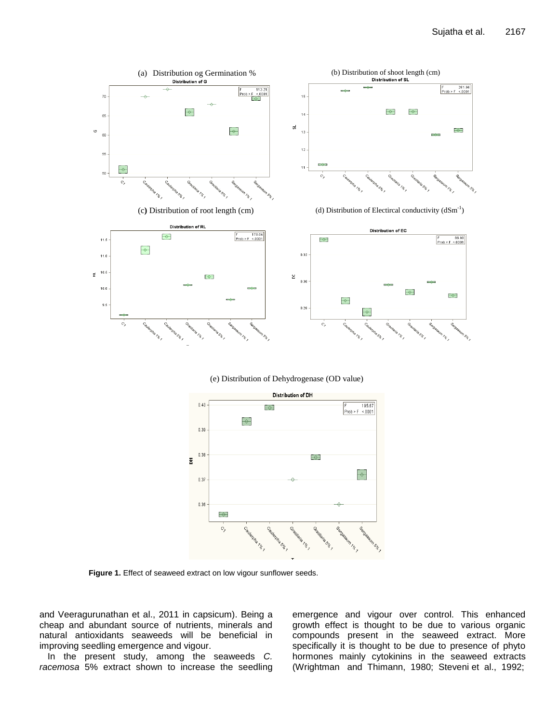

(e) Distribution of Dehydrogenase (OD value)



Figure 1. Effect of seaweed extract on low vigour sunflower seeds.

and Veeragurunathan et al., 2011 in capsicum). Being a cheap and abundant source of nutrients, minerals and natural antioxidants seaweeds will be beneficial in improving seedling emergence and vigour.

In the present study, among the seaweeds *C. racemosa* 5% extract shown to increase the seedling emergence and vigour over control. This enhanced growth effect is thought to be due to various organic compounds present in the seaweed extract. More specifically it is thought to be due to presence of phyto hormones mainly cytokinins in the seaweed extracts (Wrightman and Thimann, 1980; Steveni et al., 1992;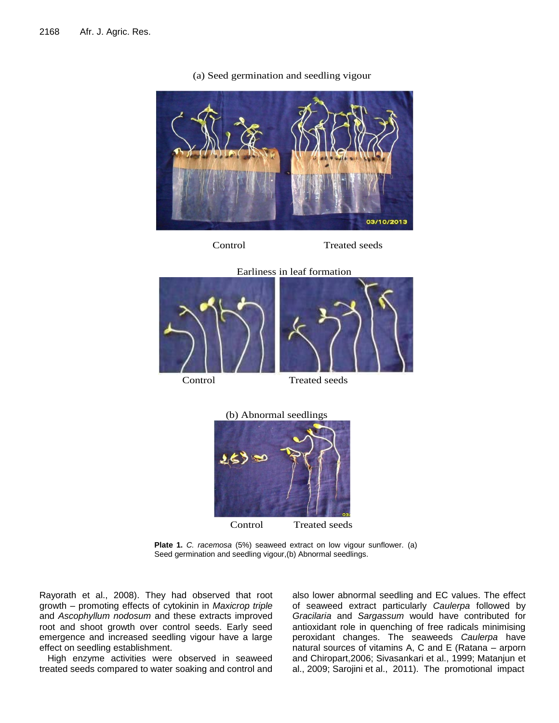

(a) Seed germination and seedling vigour



Earliness in leaf formation



Control Treated seeds

(b) Abnormal seedlings



Control Treated seeds

**Plate 1.** *C. racemosa* (5%) seaweed extract on low vigour sunflower. (a) Seed germination and seedling vigour,(b) Abnormal seedlings.

Rayorath et al., 2008). They had observed that root growth – promoting effects of cytokinin in *Maxicrop triple* and *Ascophyllum nodosum* and these extracts improved root and shoot growth over control seeds. Early seed emergence and increased seedling vigour have a large effect on seedling establishment.

High enzyme activities were observed in seaweed treated seeds compared to water soaking and control and also lower abnormal seedling and EC values. The effect of seaweed extract particularly *Caulerpa* followed by *Gracilaria* and *Sargassum* would have contributed for antioxidant role in quenching of free radicals minimising peroxidant changes. The seaweeds *Caulerpa* have natural sources of vitamins A, C and E (Ratana – arporn and Chiropart,2006; Sivasankari et al., 1999; Matanjun et al., 2009; Sarojini et al., 2011). The promotional impact